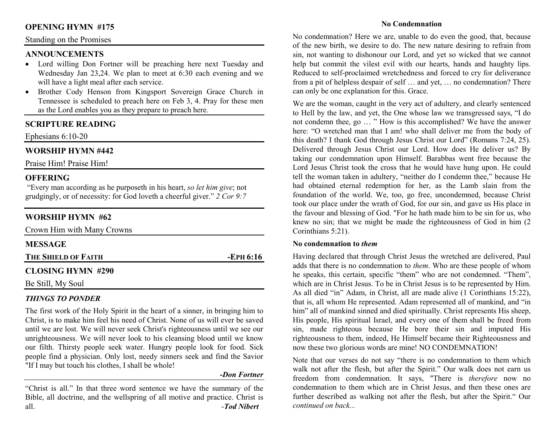## **OPENING HYMN #175**

#### Standing on the Promises

### **ANNOUNCEMENTS**

- Lord willing Don Fortner will be preaching here next Tuesday and Wednesday Jan 23,24. We plan to meet at 6:30 each evening and we will have a light meal after each service.
- Brother Cody Henson from Kingsport Sovereign Grace Church in •Tennessee is scheduled to preach here on Feb 3, 4. Pray for these men as the Lord enables you as they prepare to preach here.

## **SCRIPTURE READING**

Ephesians 6:10-20

## **WORSHIP HYMN #442**

Praise Him! Praise Him!

## **OFFERING**

 "Every man according as he purposeth in his heart, *so let him give*; not grudgingly, or of necessity: for God loveth a cheerful giver." *2 Cor 9:7*

# **WORSHIP HYMN #62**

| Crown Him with Many Crowns |           |
|----------------------------|-----------|
| <b>MESSAGE</b>             |           |
| THE SHIELD OF FAITH        | -EPH 6:16 |
| <b>CLOSING HYMN #290</b>   |           |
| Be Still, My Soul          |           |

### *THINGS TO PONDER*

 The first work of the Holy Spirit in the heart of a sinner, in bringing him to Christ, is to make him feel his need of Christ. None of us will ever be saved until we are lost. We will never seek Christ's righteousness until we see our unrighteousness. We will never look to his cleansing blood until we know our filth. Thirsty people seek water. Hungry people look for food. Sick people find a physician. Only lost, needy sinners seek and find the Savior "If I may but touch his clothes, I shall be whole!

#### *-Don Fortner*

"Christ is all." In that three word sentence we have the summary of the Bible, all doctrine, and the wellspring of all motive and practice. Christ is all. -*Tod Nibert*

#### **No Condemnation**

No condemnation? Here we are, unable to do even the good, that, because of the new birth, we desire to do. The new nature desiring to refrain from sin, not wanting to dishonour our Lord, and yet so wicked that we cannot help but commit the vilest evil with our hearts, hands and haughty lips. Reduced to self-proclaimed wretchedness and forced to cry for deliverance from a pit of helpless despair of self … and yet, … no condemnation? There can only be one explanation for this. Grace.

We are the woman, caught in the very act of adultery, and clearly sentenced to Hell by the law, and yet, the One whose law we transgressed says, "I do not condemn thee, go … " How is this accomplished? We have the answer here: "O wretched man that I am! who shall deliver me from the body of this death? I thank God through Jesus Christ our Lord" (Romans 7:24, 25). Delivered through Jesus Christ our Lord. How does He deliver us? By taking our condemnation upon Himself. Barabbas went free because the Lord Jesus Christ took the cross that he would have hung upon. He could tell the woman taken in adultery, "neither do I condemn thee," because He had obtained eternal redemption for her, as the Lamb slain from the foundation of the world. We, too, go free, uncondemned, because Christ took our place under the wrath of God, for our sin, and gave us His place in the favour and blessing of God. "For he hath made him to be sin for us, who knew no sin; that we might be made the righteousness of God in him (2 Corinthians 5:21).

#### **No condemnation to** *them*

 Having declared that through Christ Jesus the wretched are delivered, Paul adds that there is no condemnation to *them*. Who are these people of whom he speaks, this certain, specific "them" who are not condemned. "Them", which are in Christ Jesus. To be in Christ Jesus is to be represented by Him. As all died "in" Adam, in Christ, all are made alive (1 Corinthians 15:22), that is, all whom He represented. Adam represented all of mankind, and "in him" all of mankind sinned and died spiritually. Christ represents His sheep, His people, His spiritual Israel, and every one of them shall be freed from sin, made righteous because He bore their sin and imputed His righteousness to them, indeed, He Himself became their Righteousness and now these two glorious words are mine! NO CONDEMNATION!

Note that our verses do not say "there is no condemnation to them which walk not after the flesh, but after the Spirit." Our walk does not earn us freedom from condemnation. It says, "There is *therefore* now no condemnation to them which are in Christ Jesus, and then these ones are further described as walking not after the flesh, but after the Spirit." Our *continued on back...*